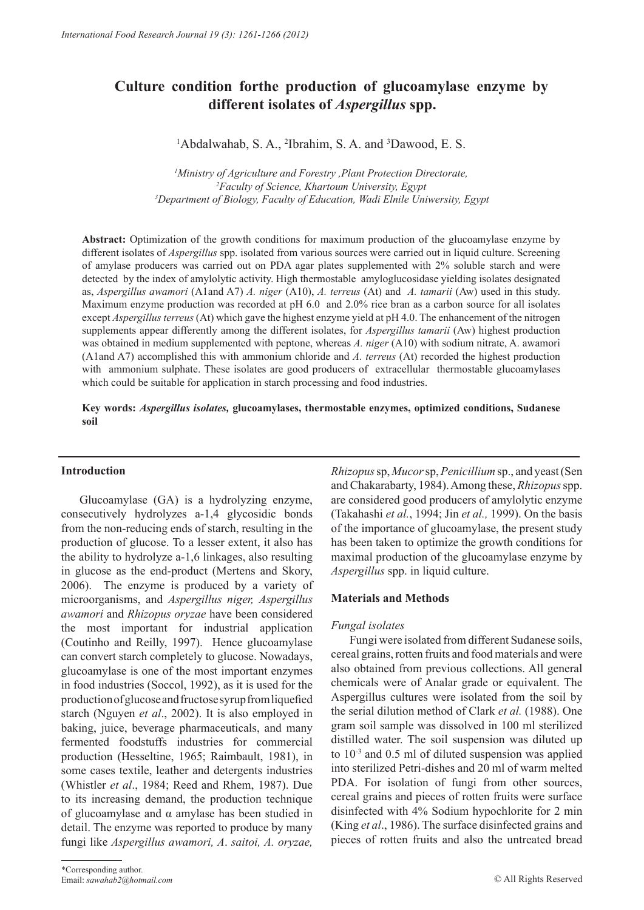# **Culture condition forthe production of glucoamylase enzyme by different isolates of** *Aspergillus* **spp.**

<sup>1</sup>Abdalwahab, S. A., <sup>2</sup>Ibrahim, S. A. and <sup>3</sup>Dawood, E. S.

*1 Ministry of Agriculture and Forestry ,Plant Protection Directorate, 2 Faculty of Science, Khartoum University, Egypt 3Department of Biology, Faculty of Education, Wadi Elnile Uniwersity, Egypt*

**Abstract:** Optimization of the growth conditions for maximum production of the glucoamylase enzyme by different isolates of *Aspergillus* spp. isolated from various sources were carried out in liquid culture. Screening of amylase producers was carried out on PDA agar plates supplemented with 2% soluble starch and were detected by the index of amylolytic activity. High thermostable amyloglucosidase yielding isolates designated as, *Aspergillus awamori* (A1and A7) *A. niger* (A10), *A. terreus* (At) and *A. tamarii* (Aw) used in this study. Maximum enzyme production was recorded at pH 6.0 and 2.0% rice bran as a carbon source for all isolates except *Aspergillus terreus* (At) which gave the highest enzyme yield at pH 4.0. The enhancement of the nitrogen supplements appear differently among the different isolates, for *Aspergillus tamarii* (Aw) highest production was obtained in medium supplemented with peptone, whereas *A. niger* (A10) with sodium nitrate, A. awamori (A1and A7) accomplished this with ammonium chloride and *A. terreus* (At) recorded the highest production with ammonium sulphate. These isolates are good producers of extracellular thermostable glucoamylases which could be suitable for application in starch processing and food industries.

### **Key words:** *Aspergillus isolates,* **glucoamylases, thermostable enzymes, optimized conditions, Sudanese soil**

#### **Introduction**

Glucoamylase (GA) is a hydrolyzing enzyme, consecutively hydrolyzes a-1,4 glycosidic bonds from the non-reducing ends of starch, resulting in the production of glucose. To a lesser extent, it also has the ability to hydrolyze a-1,6 linkages, also resulting in glucose as the end-product (Mertens and Skory, 2006). The enzyme is produced by a variety of microorganisms, and *Aspergillus niger, Aspergillus awamori* and *Rhizopus oryzae* have been considered the most important for industrial application (Coutinho and Reilly, 1997). Hence glucoamylase can convert starch completely to glucose. Nowadays, glucoamylase is one of the most important enzymes in food industries (Soccol, 1992), as it is used for the production of glucose and fructose syrup from liquefied starch (Nguyen *et al*., 2002). It is also employed in baking, juice, beverage pharmaceuticals, and many fermented foodstuffs industries for commercial production (Hesseltine, 1965; Raimbault, 1981), in some cases textile, leather and detergents industries (Whistler *et al*., 1984; Reed and Rhem, 1987). Due to its increasing demand, the production technique of glucoamylase and α amylase has been studied in detail. The enzyme was reported to produce by many fungi like *Aspergillus awamori, A*. *saitoi, A. oryzae,* 

*Rhizopus* sp, *Mucor* sp, *Penicillium* sp., and yeast (Sen and Chakarabarty, 1984). Among these, *Rhizopus* spp. are considered good producers of amylolytic enzyme (Takahashi *et al.*, 1994; Jin *et al.,* 1999). On the basis of the importance of glucoamylase, the present study has been taken to optimize the growth conditions for maximal production of the glucoamylase enzyme by *Aspergillus* spp. in liquid culture.

## **Materials and Methods**

## *Fungal isolates*

Fungi were isolated from different Sudanese soils, cereal grains, rotten fruits and food materials and were also obtained from previous collections. All general chemicals were of Analar grade or equivalent. The Aspergillus cultures were isolated from the soil by the serial dilution method of Clark *et al.* (1988). One gram soil sample was dissolved in 100 ml sterilized distilled water. The soil suspension was diluted up to 10-3 and 0.5 ml of diluted suspension was applied into sterilized Petri-dishes and 20 ml of warm melted PDA. For isolation of fungi from other sources, cereal grains and pieces of rotten fruits were surface disinfected with 4% Sodium hypochlorite for 2 min (King *et al*., 1986). The surface disinfected grains and pieces of rotten fruits and also the untreated bread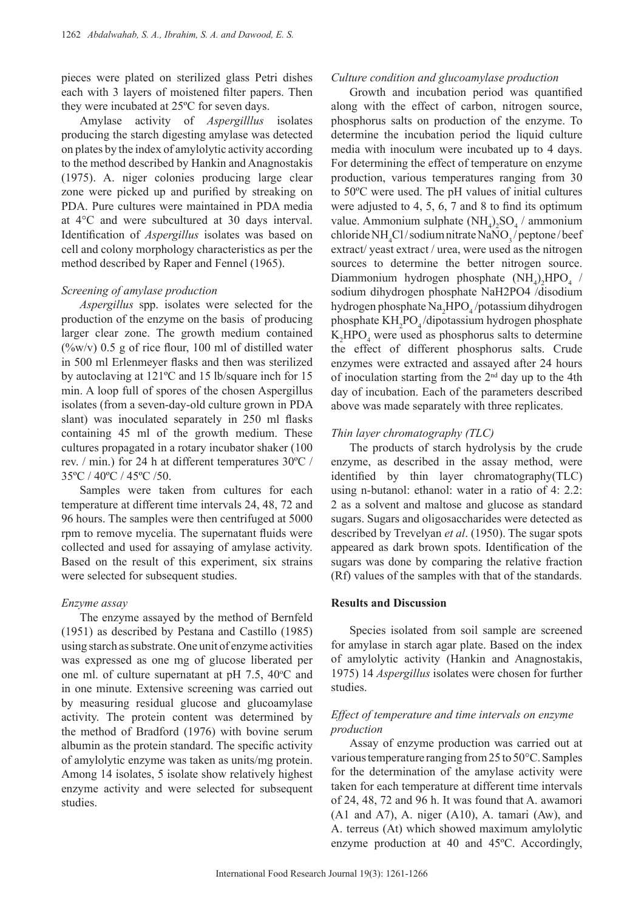pieces were plated on sterilized glass Petri dishes each with 3 layers of moistened filter papers. Then they were incubated at 25ºC for seven days.

Amylase activity of *Aspergilllus* isolates producing the starch digesting amylase was detected on plates by the index of amylolytic activity according to the method described by Hankin and Anagnostakis (1975). A. niger colonies producing large clear zone were picked up and purified by streaking on PDA. Pure cultures were maintained in PDA media at 4°C and were subcultured at 30 days interval. Identification of *Aspergillus* isolates was based on cell and colony morphology characteristics as per the method described by Raper and Fennel (1965).

#### *Screening of amylase production*

*Aspergillus* spp. isolates were selected for the production of the enzyme on the basis of producing larger clear zone. The growth medium contained  $(\frac{6}{\text{w}})(v)$  0.5 g of rice flour, 100 ml of distilled water in 500 ml Erlenmeyer flasks and then was sterilized by autoclaving at 121ºC and 15 lb/square inch for 15 min. A loop full of spores of the chosen Aspergillus isolates (from a seven-day-old culture grown in PDA slant) was inoculated separately in 250 ml flasks containing 45 ml of the growth medium. These cultures propagated in a rotary incubator shaker (100 rev. / min.) for 24 h at different temperatures 30ºC / 35ºC / 40ºC / 45ºC /50.

Samples were taken from cultures for each temperature at different time intervals 24, 48, 72 and 96 hours. The samples were then centrifuged at 5000 rpm to remove mycelia. The supernatant fluids were collected and used for assaying of amylase activity. Based on the result of this experiment, six strains were selected for subsequent studies.

#### *Enzyme assay*

The enzyme assayed by the method of Bernfeld (1951) as described by Pestana and Castillo (1985) using starch as substrate. One unit of enzyme activities was expressed as one mg of glucose liberated per one ml. of culture supernatant at  $pH$  7.5, 40 $\degree$ C and in one minute. Extensive screening was carried out by measuring residual glucose and glucoamylase activity. The protein content was determined by the method of Bradford (1976) with bovine serum albumin as the protein standard. The specific activity of amylolytic enzyme was taken as units/mg protein. Among 14 isolates, 5 isolate show relatively highest enzyme activity and were selected for subsequent studies.

#### *Culture condition and glucoamylase production*

Growth and incubation period was quantified along with the effect of carbon, nitrogen source, phosphorus salts on production of the enzyme. To determine the incubation period the liquid culture media with inoculum were incubated up to 4 days. For determining the effect of temperature on enzyme production, various temperatures ranging from 30 to 50ºC were used. The pH values of initial cultures were adjusted to 4, 5, 6, 7 and 8 to find its optimum value. Ammonium sulphate  $(NH_4)_2SO_4$  / ammonium  $\text{chloride}\,\text{NH}_{4}\text{Cl}/\text{sodium}\,\text{nitrate}\,\text{NaNO}_{3}/\text{peptone}/\text{beef}$ extract/ yeast extract / urea, were used as the nitrogen sources to determine the better nitrogen source. Diammonium hydrogen phosphate  $(NH_4)_2HPO_4$  / sodium dihydrogen phosphate NaH2PO4 /disodium hydrogen phosphate  $\text{Na}_2\text{HPO}_4$ /potassium dihydrogen phosphate KH<sub>2</sub>PO<sub>4</sub>/dipotassium hydrogen phosphate  $K_2$ HPO<sub>4</sub> were used as phosphorus salts to determine the effect of different phosphorus salts. Crude enzymes were extracted and assayed after 24 hours of inoculation starting from the  $2<sup>nd</sup>$  day up to the 4th day of incubation. Each of the parameters described above was made separately with three replicates.

### *Thin layer chromatography (TLC)*

The products of starch hydrolysis by the crude enzyme, as described in the assay method, were identified by thin layer chromatography(TLC) using n-butanol: ethanol: water in a ratio of 4: 2.2: 2 as a solvent and maltose and glucose as standard sugars. Sugars and oligosaccharides were detected as described by Trevelyan *et al*. (1950). The sugar spots appeared as dark brown spots. Identification of the sugars was done by comparing the relative fraction (Rf) values of the samples with that of the standards.

#### **Results and Discussion**

Species isolated from soil sample are screened for amylase in starch agar plate. Based on the index of amylolytic activity (Hankin and Anagnostakis, 1975) 14 *Aspergillus* isolates were chosen for further studies.

## *Effect of temperature and time intervals on enzyme production*

Assay of enzyme production was carried out at various temperature ranging from 25 to 50°C. Samples for the determination of the amylase activity were taken for each temperature at different time intervals of 24, 48, 72 and 96 h. It was found that A. awamori (A1 and A7), A. niger (A10), A. tamari (Aw), and A. terreus (At) which showed maximum amylolytic enzyme production at 40 and 45ºC. Accordingly,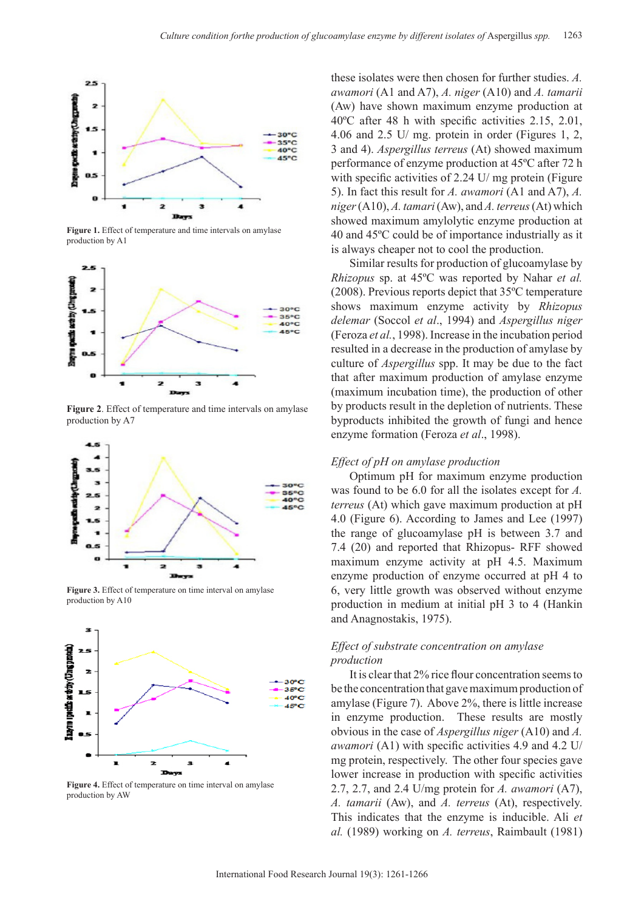

**Figure 1.** Effect of temperature and time intervals on amylase production by A1



**Figure 2**. Effect of temperature and time intervals on amylase production by A7



**Figure 3.** Effect of temperature on time interval on amylase production by A10



**Figure 4.** Effect of temperature on time interval on amylase production by AW

these isolates were then chosen for further studies. *A. awamori* (A1 and A7), *A. niger* (A10) and *A. tamarii*  (Aw) have shown maximum enzyme production at 40ºC after 48 h with specific activities 2.15, 2.01, 4.06 and 2.5 U/ mg. protein in order (Figures 1, 2, 3 and 4). *Aspergillus terreus* (At) showed maximum performance of enzyme production at 45ºC after 72 h with specific activities of 2.24 U/ mg protein (Figure) 5). In fact this result for *A. awamori* (A1 and A7), *A. niger* (A10), *A. tamari* (Aw), and *A. terreus* (At) which showed maximum amylolytic enzyme production at 40 and 45ºC could be of importance industrially as it is always cheaper not to cool the production.

Similar results for production of glucoamylase by *Rhizopus* sp. at 45ºC was reported by Nahar *et al.*  (2008). Previous reports depict that 35ºC temperature shows maximum enzyme activity by *Rhizopus delemar* (Soccol *et al*., 1994) and *Aspergillus niger* (Feroza *et al.*, 1998). Increase in the incubation period resulted in a decrease in the production of amylase by culture of *Aspergillus* spp. It may be due to the fact that after maximum production of amylase enzyme (maximum incubation time), the production of other by products result in the depletion of nutrients. These byproducts inhibited the growth of fungi and hence enzyme formation (Feroza *et al*., 1998).

#### *Effect of pH on amylase production*

Optimum pH for maximum enzyme production was found to be 6.0 for all the isolates except for *A. terreus* (At) which gave maximum production at pH 4.0 (Figure 6). According to James and Lee (1997) the range of glucoamylase pH is between 3.7 and 7.4 (20) and reported that Rhizopus- RFF showed maximum enzyme activity at pH 4.5. Maximum enzyme production of enzyme occurred at pH 4 to 6, very little growth was observed without enzyme production in medium at initial pH 3 to 4 (Hankin and Anagnostakis, 1975).

## *Effect of substrate concentration on amylase production*

It is clear that 2% rice flour concentration seems to be the concentration that gave maximum production of amylase (Figure 7). Above 2%, there is little increase in enzyme production. These results are mostly obvious in the case of *Aspergillus niger* (A10) and *A. awamori* (A1) with specific activities 4.9 and 4.2 U/ mg protein, respectively. The other four species gave lower increase in production with specific activities 2.7, 2.7, and 2.4 U/mg protein for *A. awamori* (A7), *A. tamarii* (Aw), and *A. terreus* (At), respectively. This indicates that the enzyme is inducible. Ali *et al.* (1989) working on *A. terreus*, Raimbault (1981)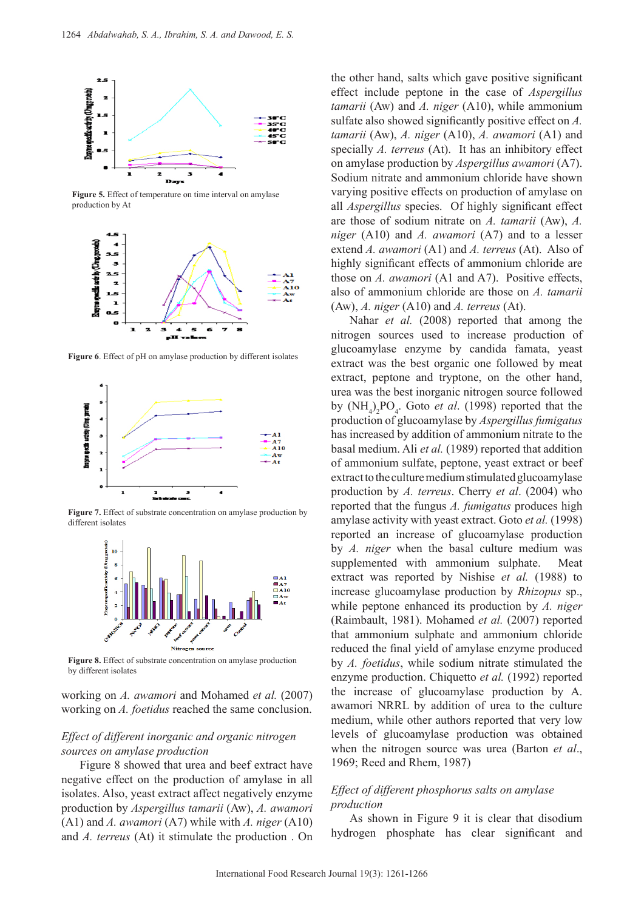

**Figure 5.** Effect of temperature on time interval on amylase production by At



**Figure 6**. Effect of pH on amylase production by different isolates



**Figure 7.** Effect of substrate concentration on amylase production by different isolates



**Figure 8.** Effect of substrate concentration on amylase production by different isolates

working on *A. awamori* and Mohamed *et al.* (2007) working on *A. foetidus* reached the same conclusion.

## *Effect of different inorganic and organic nitrogen sources on amylase production*

Figure 8 showed that urea and beef extract have negative effect on the production of amylase in all isolates. Also, yeast extract affect negatively enzyme production by *Aspergillus tamarii* (Aw), *A. awamori*  (A1) and *A. awamori* (A7) while with *A. niger* (A10) and *A. terreus* (At) it stimulate the production . On

the other hand, salts which gave positive significant effect include peptone in the case of *Aspergillus tamarii* (Aw) and *A. niger* (A10), while ammonium sulfate also showed significantly positive effect on *A. tamarii* (Aw), *A. niger* (A10), *A. awamori* (A1) and specially *A. terreus* (At). It has an inhibitory effect on amylase production by *Aspergillus awamori* (A7). Sodium nitrate and ammonium chloride have shown varying positive effects on production of amylase on all *Aspergillus* species. Of highly significant effect are those of sodium nitrate on *A. tamarii* (Aw), *A. niger* (A10) and *A. awamori* (A7) and to a lesser extend *A. awamori* (A1) and *A. terreus* (At). Also of highly significant effects of ammonium chloride are those on *A. awamori* (A1 and A7). Positive effects, also of ammonium chloride are those on *A. tamarii*  (Aw), *A. niger* (A10) and *A. terreus* (At).

Nahar *et al.* (2008) reported that among the nitrogen sources used to increase production of glucoamylase enzyme by candida famata, yeast extract was the best organic one followed by meat extract, peptone and tryptone, on the other hand, urea was the best inorganic nitrogen source followed by  $(NH_4)_2PO_4$ . Goto *et al.* (1998) reported that the production of glucoamylase by *Aspergillus fumigatus* has increased by addition of ammonium nitrate to the basal medium. Ali *et al.* (1989) reported that addition of ammonium sulfate, peptone, yeast extract or beef extract to the culture medium stimulated glucoamylase production by *A. terreus*. Cherry *et al*. (2004) who reported that the fungus *A. fumigatus* produces high amylase activity with yeast extract. Goto *et al.* (1998) reported an increase of glucoamylase production by *A. niger* when the basal culture medium was supplemented with ammonium sulphate. Meat extract was reported by Nishise *et al.* (1988) to increase glucoamylase production by *Rhizopus* sp., while peptone enhanced its production by *A. niger*  (Raimbault, 1981). Mohamed *et al.* (2007) reported that ammonium sulphate and ammonium chloride reduced the final yield of amylase enzyme produced by *A. foetidus*, while sodium nitrate stimulated the enzyme production. Chiquetto *et al.* (1992) reported the increase of glucoamylase production by A. awamori NRRL by addition of urea to the culture medium, while other authors reported that very low levels of glucoamylase production was obtained when the nitrogen source was urea (Barton *et al*., 1969; Reed and Rhem, 1987)

## *Effect of different phosphorus salts on amylase production*

As shown in Figure 9 it is clear that disodium hydrogen phosphate has clear significant and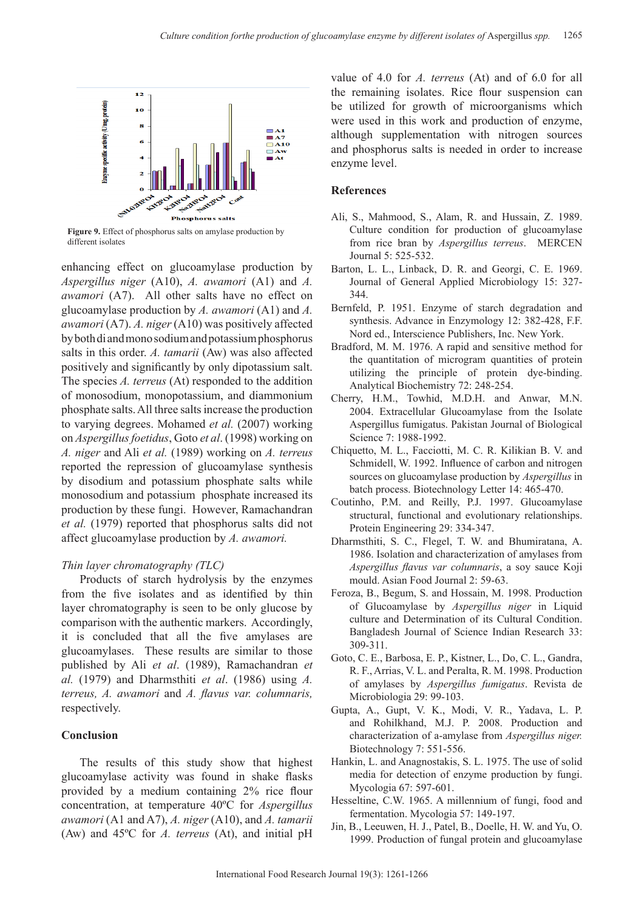

**Figure 9.** Effect of phosphorus salts on amylase production by different isolates

enhancing effect on glucoamylase production by *Aspergillus niger* (A10), *A. awamori* (A1) and *A. awamori* (A7). All other salts have no effect on glucoamylase production by *A. awamori* (A1) and *A. awamori* (A7). *A. niger* (A10) was positively affected by both di and mono sodium and potassium phosphorus salts in this order. *A. tamarii* (Aw) was also affected positively and significantly by only dipotassium salt. The species *A. terreus* (At) responded to the addition of monosodium, monopotassium, and diammonium phosphate salts. All three salts increase the production to varying degrees. Mohamed *et al.* (2007) working on *Aspergillus foetidus*, Goto *et al*. (1998) working on *A. niger* and Ali *et al.* (1989) working on *A. terreus* reported the repression of glucoamylase synthesis by disodium and potassium phosphate salts while monosodium and potassium phosphate increased its production by these fungi. However, Ramachandran *et al.* (1979) reported that phosphorus salts did not affect glucoamylase production by *A. awamori.*

## *Thin layer chromatography (TLC)*

Products of starch hydrolysis by the enzymes from the five isolates and as identified by thin layer chromatography is seen to be only glucose by comparison with the authentic markers. Accordingly, it is concluded that all the five amylases are glucoamylases. These results are similar to those published by Ali *et al*. (1989), Ramachandran *et al.* (1979) and Dharmsthiti *et al*. (1986) using *A. terreus, A. awamori* and *A. flavus var. columnaris,* respectively.

## **Conclusion**

The results of this study show that highest glucoamylase activity was found in shake flasks provided by a medium containing 2% rice flour concentration, at temperature 40ºC for *Aspergillus awamori* (A1 and A7), *A. niger* (A10), and *A. tamarii*  (Aw) and 45ºC for *A. terreus* (At), and initial pH

value of 4.0 for *A. terreus* (At) and of 6.0 for all the remaining isolates. Rice flour suspension can be utilized for growth of microorganisms which were used in this work and production of enzyme, although supplementation with nitrogen sources and phosphorus salts is needed in order to increase enzyme level.

## **References**

- Ali, S., Mahmood, S., Alam, R. and Hussain, Z. 1989. Culture condition for production of glucoamylase from rice bran by *Aspergillus terreus*. MERCEN Journal 5: 525-532.
- Barton, L. L., Linback, D. R. and Georgi, C. E. 1969. Journal of General Applied Microbiology 15: 327- 344.
- Bernfeld, P. 1951. Enzyme of starch degradation and synthesis. Advance in Enzymology 12: 382-428, F.F. Nord ed., Interscience Publishers, Inc. New York.
- Bradford, M. M. 1976. A rapid and sensitive method for the quantitation of microgram quantities of protein utilizing the principle of protein dye-binding. Analytical Biochemistry 72: 248-254.
- Cherry, H.M., Towhid, M.D.H. and Anwar, M.N. 2004. Extracellular Glucoamylase from the Isolate Aspergillus fumigatus. Pakistan Journal of Biological Science 7: 1988-1992.
- Chiquetto, M. L., Facciotti, M. C. R. Kilikian B. V. and Schmidell, W. 1992. Influence of carbon and nitrogen sources on glucoamylase production by *Aspergillus* in batch process. Biotechnology Letter 14: 465-470.
- Coutinho, P.M. and Reilly, P.J. 1997. Glucoamylase structural, functional and evolutionary relationships. Protein Engineering 29: 334-347.
- Dharmsthiti, S. C., Flegel, T. W. and Bhumiratana, A. 1986. Isolation and characterization of amylases from *Aspergillus flavus var columnaris*, a soy sauce Koji mould. Asian Food Journal 2: 59-63.
- Feroza, B., Begum, S. and Hossain, M. 1998. Production of Glucoamylase by *Aspergillus niger* in Liquid culture and Determination of its Cultural Condition. Bangladesh Journal of Science Indian Research 33: 309-311.
- Goto, C. E., Barbosa, E. P., Kistner, L., Do, C. L., Gandra, R. F., Arrias, V. L. and Peralta, R. M. 1998. Production of amylases by *Aspergillus fumigatus*. Revista de Microbiologia 29: 99-103.
- Gupta, A., Gupt, V. K., Modi, V. R., Yadava, L. P. and Rohilkhand, M.J. P. 2008. Production and characterization of a-amylase from *Aspergillus niger.* Biotechnology 7: 551-556.
- Hankin, L. and Anagnostakis, S. L. 1975. The use of solid media for detection of enzyme production by fungi. Mycologia 67: 597-601.
- Hesseltine, C.W. 1965. A millennium of fungi, food and fermentation. Mycologia 57: 149-197.
- Jin, B., Leeuwen, H. J., Patel, B., Doelle, H. W. and Yu, O. 1999. Production of fungal protein and glucoamylase